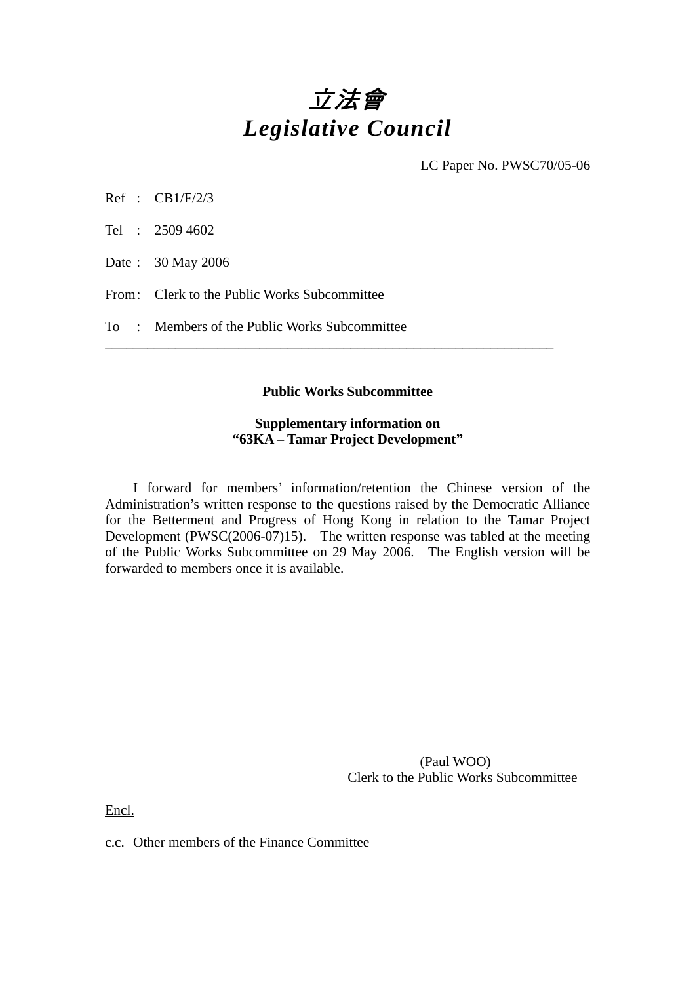# 立法會 *Legislative Council*

LC Paper No. PWSC70/05-06

Ref : CB1/F/2/3

Tel : 2509 4602

Date : 30 May 2006

From: Clerk to the Public Works Subcommittee

To : Members of the Public Works Subcommittee

#### **Public Works Subcommittee**

\_\_\_\_\_\_\_\_\_\_\_\_\_\_\_\_\_\_\_\_\_\_\_\_\_\_\_\_\_\_\_\_\_\_\_\_\_\_\_\_\_\_\_\_\_\_\_\_\_\_\_\_\_\_\_\_\_\_\_\_\_\_\_\_

#### **Supplementary information on "63KA – Tamar Project Development"**

 I forward for members' information/retention the Chinese version of the Administration's written response to the questions raised by the Democratic Alliance for the Betterment and Progress of Hong Kong in relation to the Tamar Project Development (PWSC(2006-07)15). The written response was tabled at the meeting of the Public Works Subcommittee on 29 May 2006. The English version will be forwarded to members once it is available.

> (Paul WOO) Clerk to the Public Works Subcommittee

Encl.

c.c. Other members of the Finance Committee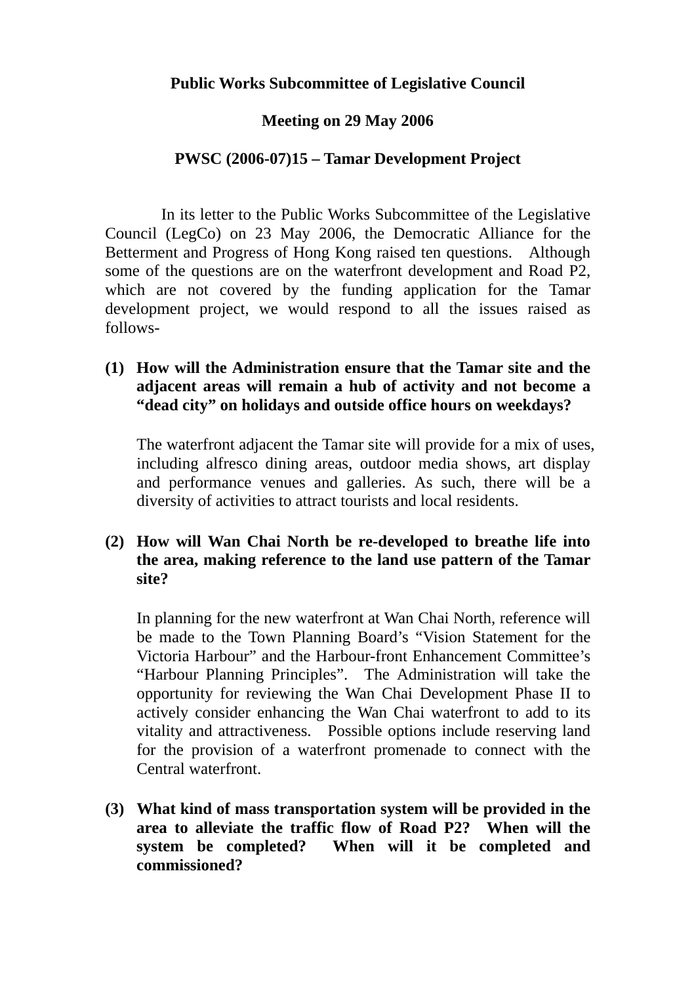## **Meeting on 29 May 2006**

## **PWSC (2006-07)15 – Tamar Development Project**

In its letter to the Public Works Subcommittee of the Legislative Council (LegCo) on 23 May 2006, the Democratic Alliance for the Betterment and Progress of Hong Kong raised ten questions. Although some of the questions are on the waterfront development and Road P2, which are not covered by the funding application for the Tamar development project, we would respond to all the issues raised as follows-

**(1) How will the Administration ensure that the Tamar site and the adjacent areas will remain a hub of activity and not become a "dead city" on holidays and outside office hours on weekdays?** 

The waterfront adjacent the Tamar site will provide for a mix of uses, including alfresco dining areas, outdoor media shows, art display and performance venues and galleries. As such, there will be a diversity of activities to attract tourists and local residents.

**(2) How will Wan Chai North be re-developed to breathe life into the area, making reference to the land use pattern of the Tamar site?** 

In planning for the new waterfront at Wan Chai North, reference will be made to the Town Planning Board's "Vision Statement for the Victoria Harbour" and the Harbour-front Enhancement Committee's "Harbour Planning Principles". The Administration will take the opportunity for reviewing the Wan Chai Development Phase II to actively consider enhancing the Wan Chai waterfront to add to its vitality and attractiveness. Possible options include reserving land for the provision of a waterfront promenade to connect with the Central waterfront.

**(3) What kind of mass transportation system will be provided in the area to alleviate the traffic flow of Road P2? When will the system be completed? When will it be completed and commissioned?**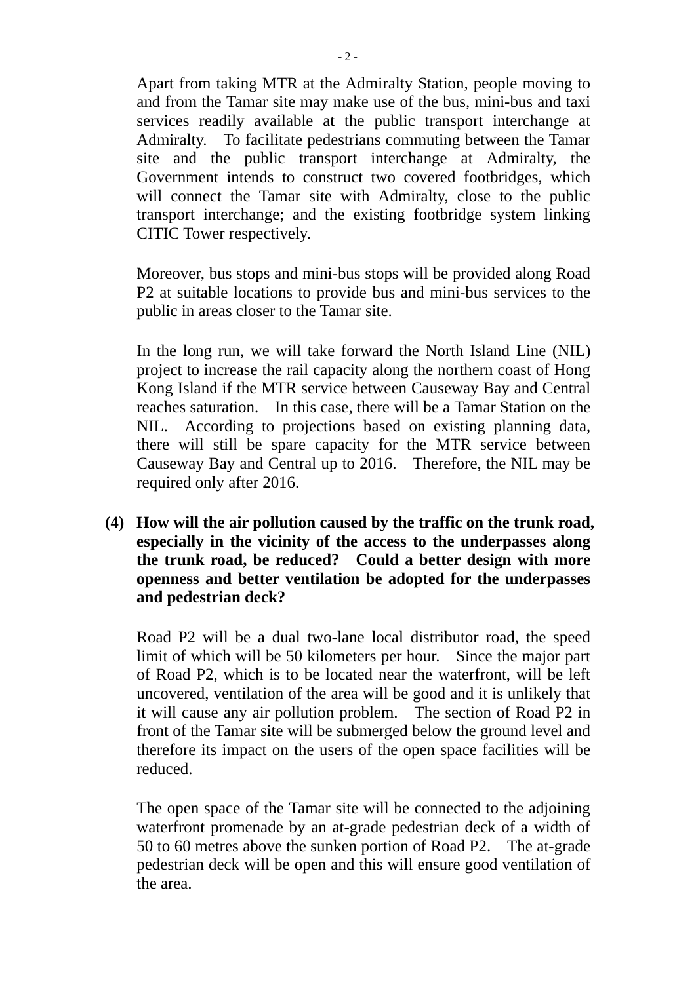Apart from taking MTR at the Admiralty Station, people moving to and from the Tamar site may make use of the bus, mini-bus and taxi services readily available at the public transport interchange at Admiralty. To facilitate pedestrians commuting between the Tamar site and the public transport interchange at Admiralty, the Government intends to construct two covered footbridges, which will connect the Tamar site with Admiralty, close to the public transport interchange; and the existing footbridge system linking CITIC Tower respectively.

Moreover, bus stops and mini-bus stops will be provided along Road P2 at suitable locations to provide bus and mini-bus services to the public in areas closer to the Tamar site.

In the long run, we will take forward the North Island Line (NIL) project to increase the rail capacity along the northern coast of Hong Kong Island if the MTR service between Causeway Bay and Central reaches saturation. In this case, there will be a Tamar Station on the NIL. According to projections based on existing planning data, there will still be spare capacity for the MTR service between Causeway Bay and Central up to 2016. Therefore, the NIL may be required only after 2016.

**(4) How will the air pollution caused by the traffic on the trunk road, especially in the vicinity of the access to the underpasses along the trunk road, be reduced? Could a better design with more openness and better ventilation be adopted for the underpasses and pedestrian deck?** 

Road P2 will be a dual two-lane local distributor road, the speed limit of which will be 50 kilometers per hour. Since the major part of Road P2, which is to be located near the waterfront, will be left uncovered, ventilation of the area will be good and it is unlikely that it will cause any air pollution problem. The section of Road P2 in front of the Tamar site will be submerged below the ground level and therefore its impact on the users of the open space facilities will be reduced.

The open space of the Tamar site will be connected to the adjoining waterfront promenade by an at-grade pedestrian deck of a width of 50 to 60 metres above the sunken portion of Road P2. The at-grade pedestrian deck will be open and this will ensure good ventilation of the area.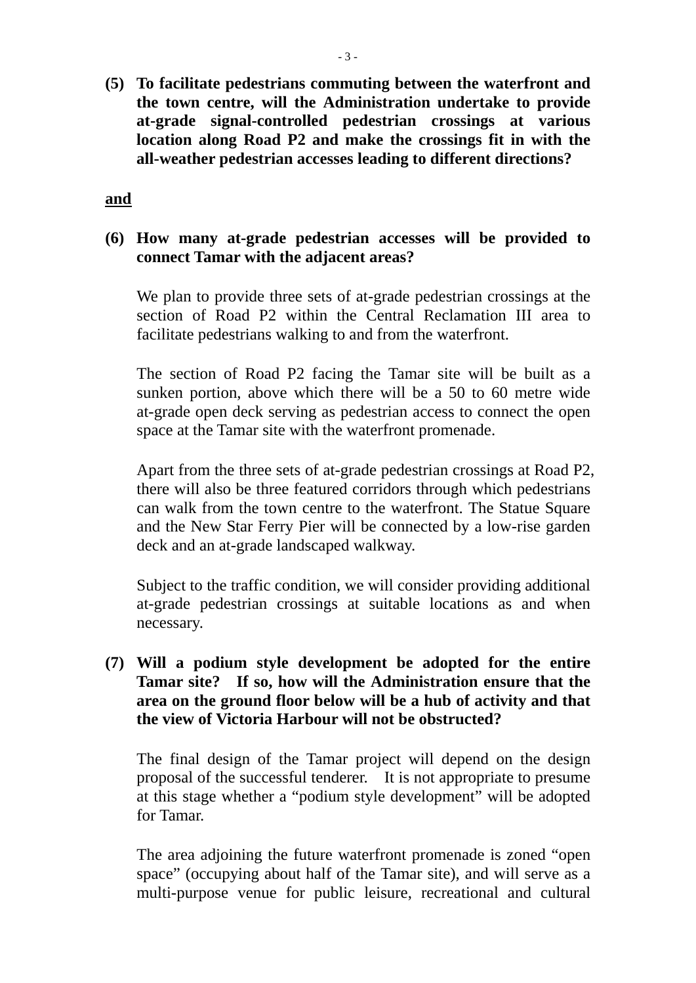**(5) To facilitate pedestrians commuting between the waterfront and the town centre, will the Administration undertake to provide at-grade signal-controlled pedestrian crossings at various location along Road P2 and make the crossings fit in with the all-weather pedestrian accesses leading to different directions?** 

**and**

# **(6) How many at-grade pedestrian accesses will be provided to connect Tamar with the adjacent areas?**

We plan to provide three sets of at-grade pedestrian crossings at the section of Road P2 within the Central Reclamation III area to facilitate pedestrians walking to and from the waterfront.

The section of Road P2 facing the Tamar site will be built as a sunken portion, above which there will be a 50 to 60 metre wide at-grade open deck serving as pedestrian access to connect the open space at the Tamar site with the waterfront promenade.

Apart from the three sets of at-grade pedestrian crossings at Road P2, there will also be three featured corridors through which pedestrians can walk from the town centre to the waterfront. The Statue Square and the New Star Ferry Pier will be connected by a low-rise garden deck and an at-grade landscaped walkway.

Subject to the traffic condition, we will consider providing additional at-grade pedestrian crossings at suitable locations as and when necessary.

**(7) Will a podium style development be adopted for the entire Tamar site? If so, how will the Administration ensure that the area on the ground floor below will be a hub of activity and that the view of Victoria Harbour will not be obstructed?** 

The final design of the Tamar project will depend on the design proposal of the successful tenderer. It is not appropriate to presume at this stage whether a "podium style development" will be adopted for Tamar.

The area adjoining the future waterfront promenade is zoned "open space" (occupying about half of the Tamar site), and will serve as a multi-purpose venue for public leisure, recreational and cultural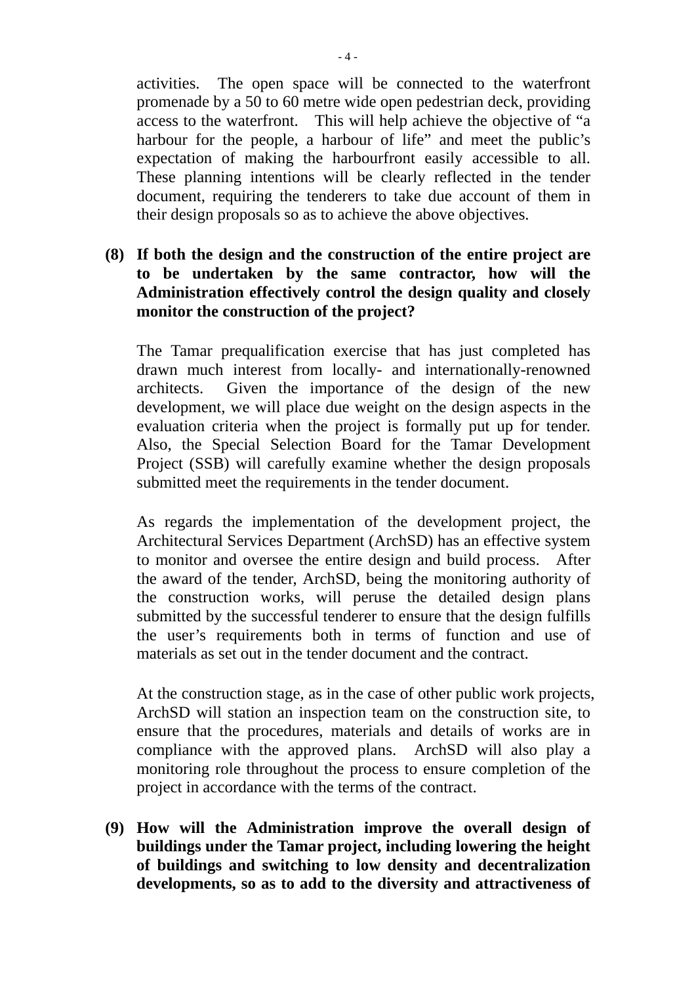activities. The open space will be connected to the waterfront promenade by a 50 to 60 metre wide open pedestrian deck, providing access to the waterfront. This will help achieve the objective of "a harbour for the people, a harbour of life" and meet the public's expectation of making the harbourfront easily accessible to all. These planning intentions will be clearly reflected in the tender document, requiring the tenderers to take due account of them in their design proposals so as to achieve the above objectives.

# **(8) If both the design and the construction of the entire project are to be undertaken by the same contractor, how will the Administration effectively control the design quality and closely monitor the construction of the project?**

The Tamar prequalification exercise that has just completed has drawn much interest from locally- and internationally-renowned architects. Given the importance of the design of the new development, we will place due weight on the design aspects in the evaluation criteria when the project is formally put up for tender. Also, the Special Selection Board for the Tamar Development Project (SSB) will carefully examine whether the design proposals submitted meet the requirements in the tender document.

As regards the implementation of the development project, the Architectural Services Department (ArchSD) has an effective system to monitor and oversee the entire design and build process. After the award of the tender, ArchSD, being the monitoring authority of the construction works, will peruse the detailed design plans submitted by the successful tenderer to ensure that the design fulfills the user's requirements both in terms of function and use of materials as set out in the tender document and the contract.

At the construction stage, as in the case of other public work projects, ArchSD will station an inspection team on the construction site, to ensure that the procedures, materials and details of works are in compliance with the approved plans. ArchSD will also play a monitoring role throughout the process to ensure completion of the project in accordance with the terms of the contract.

**(9) How will the Administration improve the overall design of buildings under the Tamar project, including lowering the height of buildings and switching to low density and decentralization developments, so as to add to the diversity and attractiveness of**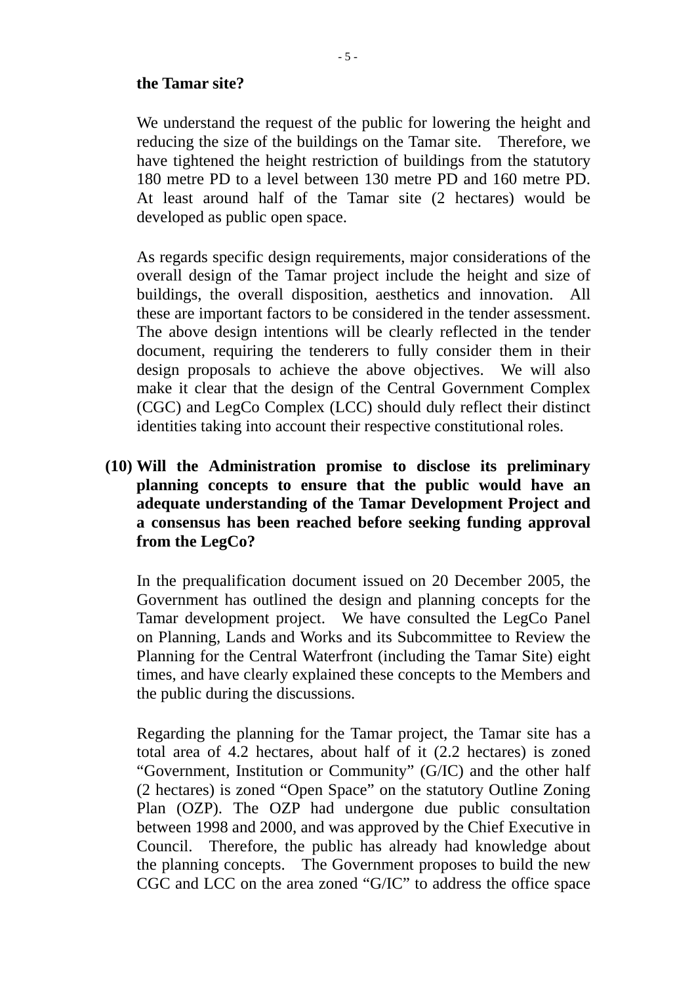#### **the Tamar site?**

We understand the request of the public for lowering the height and reducing the size of the buildings on the Tamar site. Therefore, we have tightened the height restriction of buildings from the statutory 180 metre PD to a level between 130 metre PD and 160 metre PD. At least around half of the Tamar site (2 hectares) would be developed as public open space.

As regards specific design requirements, major considerations of the overall design of the Tamar project include the height and size of buildings, the overall disposition, aesthetics and innovation. All these are important factors to be considered in the tender assessment. The above design intentions will be clearly reflected in the tender document, requiring the tenderers to fully consider them in their design proposals to achieve the above objectives. We will also make it clear that the design of the Central Government Complex (CGC) and LegCo Complex (LCC) should duly reflect their distinct identities taking into account their respective constitutional roles.

**(10) Will the Administration promise to disclose its preliminary planning concepts to ensure that the public would have an adequate understanding of the Tamar Development Project and a consensus has been reached before seeking funding approval from the LegCo?** 

In the prequalification document issued on 20 December 2005, the Government has outlined the design and planning concepts for the Tamar development project. We have consulted the LegCo Panel on Planning, Lands and Works and its Subcommittee to Review the Planning for the Central Waterfront (including the Tamar Site) eight times, and have clearly explained these concepts to the Members and the public during the discussions.

Regarding the planning for the Tamar project, the Tamar site has a total area of 4.2 hectares, about half of it (2.2 hectares) is zoned "Government, Institution or Community" (G/IC) and the other half (2 hectares) is zoned "Open Space" on the statutory Outline Zoning Plan (OZP). The OZP had undergone due public consultation between 1998 and 2000, and was approved by the Chief Executive in Council. Therefore, the public has already had knowledge about the planning concepts. The Government proposes to build the new CGC and LCC on the area zoned "G/IC" to address the office space